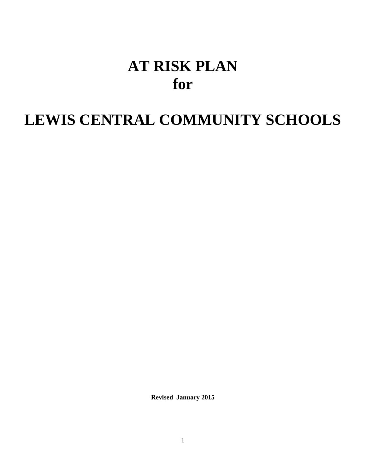# **AT RISK PLAN for**

## **LEWIS CENTRAL COMMUNITY SCHOOLS**

**Revised January 2015**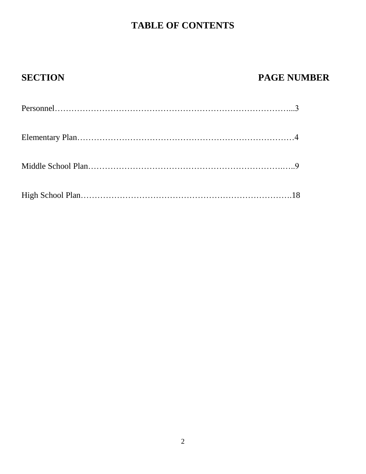## **TABLE OF CONTENTS**

## **SECTION PAGE NUMBER**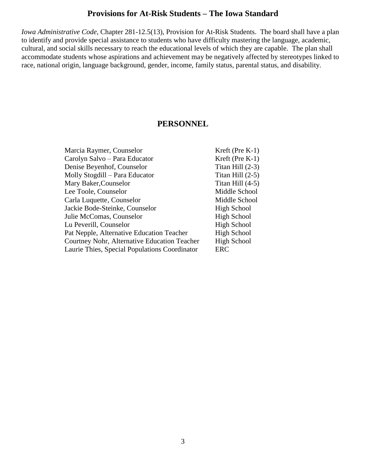### **Provisions for At-Risk Students – The Iowa Standard**

*Iowa Administrative Code,* Chapter 281-12.5(13), Provision for At-Risk Students. The board shall have a plan to identify and provide special assistance to students who have difficulty mastering the language, academic, cultural, and social skills necessary to reach the educational levels of which they are capable. The plan shall accommodate students whose aspirations and achievement may be negatively affected by stereotypes linked to race, national origin, language background, gender, income, family status, parental status, and disability.

#### **PERSONNEL**

| Marcia Raymer, Counselor                      | Kreft (Pre K-1)    |
|-----------------------------------------------|--------------------|
| Carolyn Salvo - Para Educator                 | Kreft (Pre K-1)    |
| Denise Beyenhof, Counselor                    | Titan Hill $(2-3)$ |
| Molly Stogdill – Para Educator                | Titan Hill $(2-5)$ |
| Mary Baker, Counselor                         | Titan Hill $(4-5)$ |
| Lee Toole, Counselor                          | Middle School      |
| Carla Luquette, Counselor                     | Middle School      |
| Jackie Bode-Steinke, Counselor                | High School        |
| Julie McComas, Counselor                      | <b>High School</b> |
| Lu Peverill, Counselor                        | <b>High School</b> |
| Pat Nepple, Alternative Education Teacher     | High School        |
| Courtney Nohr, Alternative Education Teacher  | High School        |
| Laurie Thies, Special Populations Coordinator | ERC                |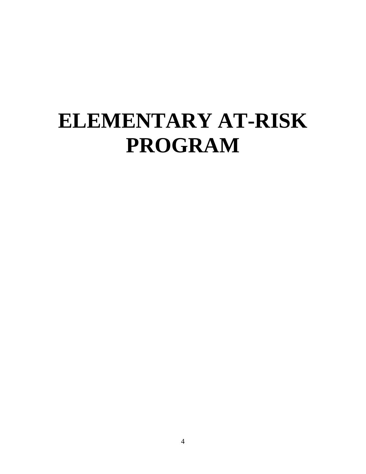# **ELEMENTARY AT-RISK PROGRAM**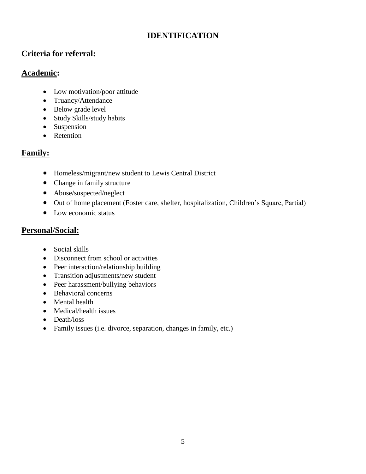## **IDENTIFICATION**

## **Criteria for referral:**

## **Academic:**

- Low motivation/poor attitude
- Truancy/Attendance
- Below grade level
- Study Skills/study habits
- Suspension
- Retention

## **Family:**

- Homeless/migrant/new student to Lewis Central District
- Change in family structure
- Abuse/suspected/neglect
- Out of home placement (Foster care, shelter, hospitalization, Children's Square, Partial)
- Low economic status

## **Personal/Social:**

- Social skills
- Disconnect from school or activities
- Peer interaction/relationship building
- Transition adjustments/new student
- Peer harassment/bullying behaviors
- Behavioral concerns
- Mental health
- Medical/health issues
- Death/loss
- Family issues (i.e. divorce, separation, changes in family, etc.)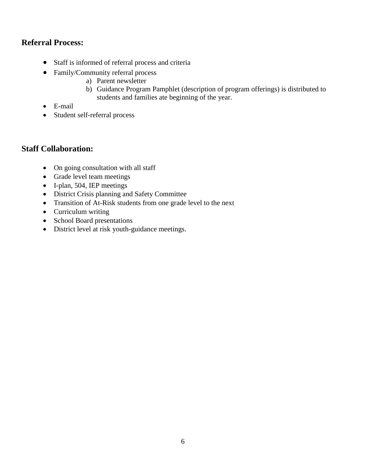## **Referral Process:**

- Staff is informed of referral process and criteria
- Family/Community referral process
	- a) Parent newsletter
	- b) Guidance Program Pamphlet (description of program offerings) is distributed to students and families ate beginning of the year.
- E-mail
- Student self-referral process

## **Staff Collaboration:**

- On going consultation with all staff
- Grade level team meetings
- I-plan, 504, IEP meetings
- District Crisis planning and Safety Committee
- Transition of At-Risk students from one grade level to the next
- Curriculum writing
- School Board presentations
- District level at risk youth-guidance meetings.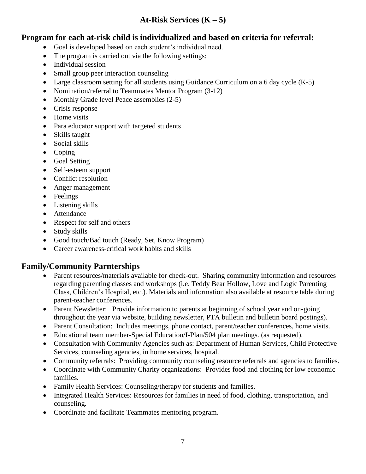## **At-Risk Services (K – 5)**

## **Program for each at-risk child is individualized and based on criteria for referral:**

- Goal is developed based on each student's individual need.
- The program is carried out via the following settings:
- Individual session
- Small group peer interaction counseling
- Large classroom setting for all students using Guidance Curriculum on a 6 day cycle (K-5)
- Nomination/referral to Teammates Mentor Program (3-12)
- Monthly Grade level Peace assemblies (2-5)
- Crisis response
- Home visits
- Para educator support with targeted students
- Skills taught
- Social skills
- Coping
- Goal Setting
- Self-esteem support
- Conflict resolution
- Anger management
- Feelings
- Listening skills
- Attendance
- Respect for self and others
- Study skills
- Good touch/Bad touch (Ready, Set, Know Program)
- Career awareness-critical work habits and skills

## **Family/Community Parnterships**

- Parent resources/materials available for check-out. Sharing community information and resources regarding parenting classes and workshops (i.e. Teddy Bear Hollow, Love and Logic Parenting Class, Children's Hospital, etc.). Materials and information also available at resource table during parent-teacher conferences.
- Parent Newsletter: Provide information to parents at beginning of school year and on-going throughout the year via website, building newsletter, PTA bulletin and bulletin board postings).
- Parent Consultation: Includes meetings, phone contact, parent/teacher conferences, home visits.
- Educational team member-Special Education/I-Plan/504 plan meetings. (as requested).
- Consultation with Community Agencies such as: Department of Human Services, Child Protective Services, counseling agencies, in home services, hospital.
- Community referrals: Providing community counseling resource referrals and agencies to families.
- Coordinate with Community Charity organizations: Provides food and clothing for low economic families.
- Family Health Services: Counseling/therapy for students and families.
- Integrated Health Services: Resources for families in need of food, clothing, transportation, and counseling.
- Coordinate and facilitate Teammates mentoring program.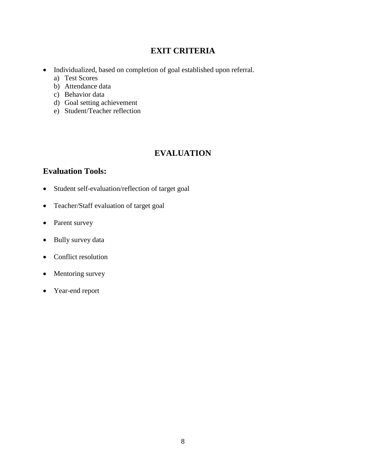## **EXIT CRITERIA**

- Individualized, based on completion of goal established upon referral.
	- a) Test Scores
	- b) Attendance data
	- c) Behavior data
	- d) Goal setting achievement
	- e) Student/Teacher reflection

## **EVALUATION**

## **Evaluation Tools:**

- Student self-evaluation/reflection of target goal
- Teacher/Staff evaluation of target goal
- Parent survey
- Bully survey data
- Conflict resolution
- Mentoring survey
- Year-end report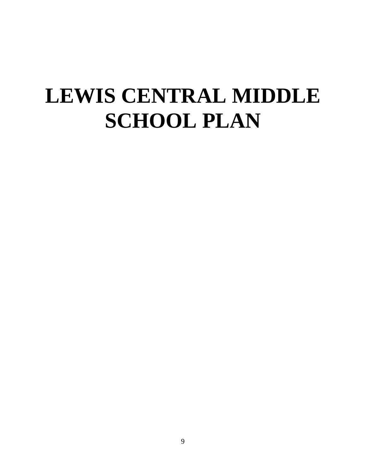# **LEWIS CENTRAL MIDDLE SCHOOL PLAN**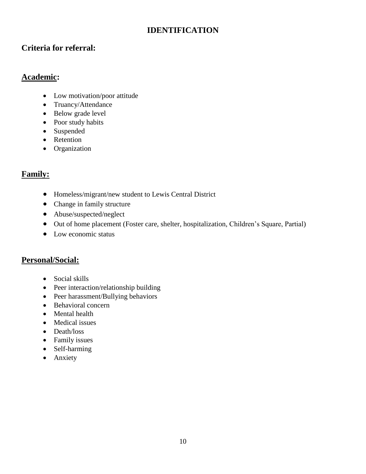## **IDENTIFICATION**

## **Criteria for referral:**

## **Academic:**

- Low motivation/poor attitude
- Truancy/Attendance
- Below grade level
- Poor study habits
- Suspended
- Retention
- Organization

## **Family:**

- Homeless/migrant/new student to Lewis Central District
- Change in family structure
- Abuse/suspected/neglect
- Out of home placement (Foster care, shelter, hospitalization, Children's Square, Partial)
- Low economic status

## **Personal/Social:**

- Social skills
- Peer interaction/relationship building
- Peer harassment/Bullying behaviors
- Behavioral concern
- Mental health
- Medical issues
- Death/loss
- Family issues
- Self-harming
- Anxiety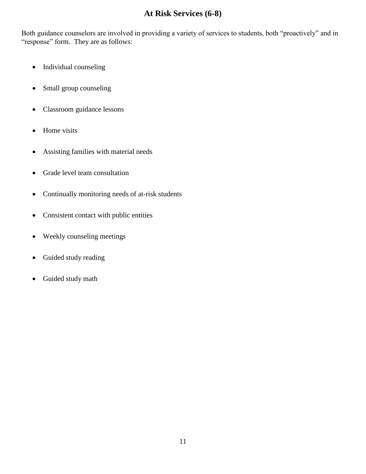## **At Risk Services (6-8)**

Both guidance counselors are involved in providing a variety of services to students, both "proactively" and in "response" form. They are as follows:

- Individual counseling
- Small group counseling
- Classroom guidance lessons
- Home visits
- Assisting families with material needs
- Grade level team consultation
- Continually monitoring needs of at-risk students
- Consistent contact with public entities
- Weekly counseling meetings
- Guided study reading
- Guided study math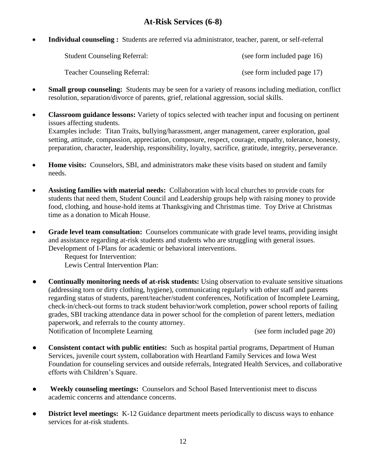## **At-Risk Services (6-8)**

**Individual counseling :** Students are referred via administrator, teacher, parent, or self-referral

| <b>Student Counseling Referral:</b> | (see form included page 16) |
|-------------------------------------|-----------------------------|
| <b>Teacher Counseling Referral:</b> | (see form included page 17) |

- **Small group counseling:** Students may be seen for a variety of reasons including mediation, conflict resolution, separation/divorce of parents, grief, relational aggression, social skills.
- **Classroom guidance lessons:** Variety of topics selected with teacher input and focusing on pertinent issues affecting students. Examples include: Titan Traits, bullying/harassment, anger management, career exploration, goal setting, attitude, compassion, appreciation, composure, respect, courage, empathy, tolerance, honesty, preparation, character, leadership, responsibility, loyalty, sacrifice, gratitude, integrity, perseverance.
- **Home visits:** Counselors, SBI, and administrators make these visits based on student and family needs.
- **Assisting families with material needs:** Collaboration with local churches to provide coats for students that need them, Student Council and Leadership groups help with raising money to provide food, clothing, and house-hold items at Thanksgiving and Christmas time. Toy Drive at Christmas time as a donation to Micah House.
- **Grade level team consultation:** Counselors communicate with grade level teams, providing insight and assistance regarding at-risk students and students who are struggling with general issues. Development of I-Plans for academic or behavioral interventions.
	- Request for Intervention:
	- Lewis Central Intervention Plan:
- **Continually monitoring needs of at-risk students:** Using observation to evaluate sensitive situations (addressing torn or dirty clothing, hygiene), communicating regularly with other staff and parents regarding status of students, parent/teacher/student conferences, Notification of Incomplete Learning, check-in/check-out forms to track student behavior/work completion, power school reports of failing grades, SBI tracking attendance data in power school for the completion of parent letters, mediation paperwork, and referrals to the county attorney. Notification of Incomplete Learning (see form included page 20)
- **Consistent contact with public entities:** Such as hospital partial programs, Department of Human Services, juvenile court system, collaboration with Heartland Family Services and Iowa West Foundation for counseling services and outside referrals, Integrated Health Services, and collaborative efforts with Children's Square.
- **Weekly counseling meetings:** Counselors and School Based Interventionist meet to discuss academic concerns and attendance concerns.
- **District level meetings:** K-12 Guidance department meets periodically to discuss ways to enhance services for at-risk students.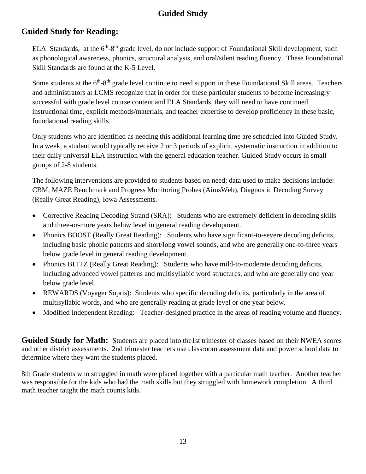## **Guided Study**

## **Guided Study for Reading:**

ELA Standards, at the 6<sup>th</sup>-8<sup>th</sup> grade level, do not include support of Foundational Skill development, such as phonological awareness, phonics, structural analysis, and oral/silent reading fluency. These Foundational Skill Standards are found at the K-5 Level.

Some students at the 6<sup>th</sup>-8<sup>th</sup> grade level continue to need support in these Foundational Skill areas. Teachers and administrators at LCMS recognize that in order for these particular students to become increasingly successful with grade level course content and ELA Standards, they will need to have continued instructional time, explicit methods/materials, and teacher expertise to develop proficiency in these basic, foundational reading skills.

Only students who are identified as needing this additional learning time are scheduled into Guided Study. In a week, a student would typically receive 2 or 3 periods of explicit, systematic instruction in addition to their daily universal ELA instruction with the general education teacher. Guided Study occurs in small groups of 2-8 students.

The following interventions are provided to students based on need; data used to make decisions include: CBM, MAZE Benchmark and Progress Monitoring Probes (AimsWeb), Diagnostic Decoding Survey (Really Great Reading), Iowa Assessments.

- Corrective Reading Decoding Strand (SRA): Students who are extremely deficient in decoding skills and three-or-more years below level in general reading development.
- Phonics BOOST (Really Great Reading):Students who have significant-to-severe decoding deficits, including basic phonic patterns and short/long vowel sounds, and who are generally one-to-three years below grade level in general reading development.
- Phonics BLITZ (Really Great Reading):Students who have mild-to-moderate decoding deficits, including advanced vowel patterns and multisyllabic word structures, and who are generally one year below grade level.
- REWARDS (Voyager Sopris): Students who specific decoding deficits, particularly in the area of multisyllabic words, and who are generally reading at grade level or one year below.
- Modified Independent Reading: Teacher-designed practice in the areas of reading volume and fluency.

**Guided Study for Math:** Students are placed into the1st trimester of classes based on their NWEA scores and other district assessments. 2nd trimester teachers use classroom assessment data and power school data to determine where they want the students placed.

8th Grade students who struggled in math were placed together with a particular math teacher. Another teacher was responsible for the kids who had the math skills but they struggled with homework completion. A third math teacher taught the math counts kids.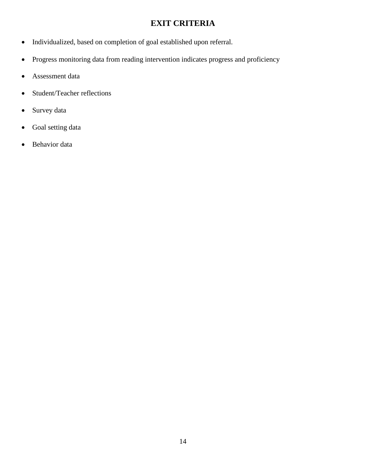## **EXIT CRITERIA**

- Individualized, based on completion of goal established upon referral.
- Progress monitoring data from reading intervention indicates progress and proficiency
- Assessment data
- Student/Teacher reflections
- Survey data
- Goal setting data
- Behavior data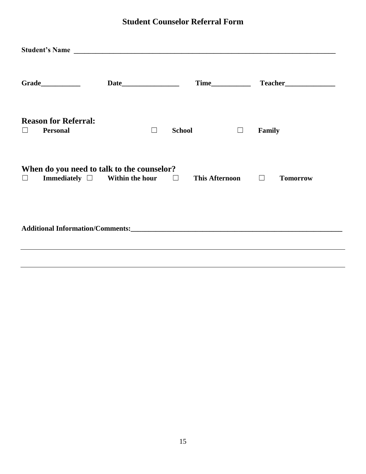## **Student Counselor Referral Form**

|         | Student's Name                                                                                |        |                       |        |               |                 |
|---------|-----------------------------------------------------------------------------------------------|--------|-----------------------|--------|---------------|-----------------|
|         |                                                                                               |        |                       |        |               |                 |
| $\perp$ | <b>Reason for Referral:</b><br><b>Personal</b>                                                | $\Box$ | <b>School</b>         | $\Box$ | <b>Family</b> |                 |
| $\Box$  | When do you need to talk to the counselor?<br>Immediately $\square$ Within the hour $\square$ |        | This Afternoon $\Box$ |        |               | <b>Tomorrow</b> |
|         |                                                                                               |        |                       |        |               |                 |
|         |                                                                                               |        |                       |        |               |                 |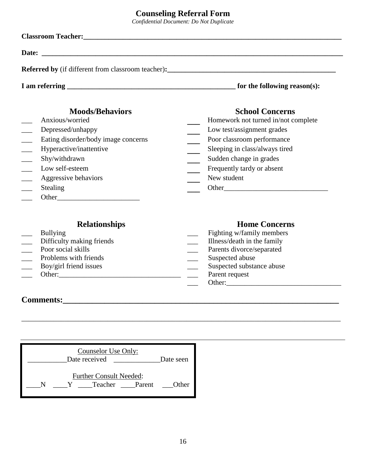## **Counseling Referral Form**

*Confidential Document: Do Not Duplicate*

| <b>Classroom Teacher:</b> The Classroom Section 2014 and 2014 and 2014 and 2014 and 2014 and 2014 and 2014 and 2014 and 2014 and 2014 and 2014 and 2014 and 2014 and 2014 and 2014 and 2014 and 2014 and 2014 and 2014 and 2014 and |                                                      |  |  |  |
|-------------------------------------------------------------------------------------------------------------------------------------------------------------------------------------------------------------------------------------|------------------------------------------------------|--|--|--|
|                                                                                                                                                                                                                                     |                                                      |  |  |  |
| <b>Referred by</b> (if different from classroom teacher):                                                                                                                                                                           |                                                      |  |  |  |
|                                                                                                                                                                                                                                     | for the following reason(s):                         |  |  |  |
| <b>Moods/Behaviors</b>                                                                                                                                                                                                              | <b>School Concerns</b>                               |  |  |  |
| Anxious/worried                                                                                                                                                                                                                     | Homework not turned in/not complete                  |  |  |  |
| Depressed/unhappy                                                                                                                                                                                                                   | Low test/assignment grades                           |  |  |  |
| Eating disorder/body image concerns                                                                                                                                                                                                 | Poor classroom performance                           |  |  |  |
| Hyperactive/inattentive                                                                                                                                                                                                             | Sleeping in class/always tired                       |  |  |  |
| Shy/withdrawn                                                                                                                                                                                                                       | Sudden change in grades                              |  |  |  |
| Low self-esteem                                                                                                                                                                                                                     | Frequently tardy or absent                           |  |  |  |
| Aggressive behaviors                                                                                                                                                                                                                | New student                                          |  |  |  |
| Stealing                                                                                                                                                                                                                            | Other<br><u> 1986 - Johann Stein, fransk kampens</u> |  |  |  |

\_\_\_ Other\_\_\_\_\_\_\_\_\_\_\_\_\_\_\_\_\_\_\_\_\_\_\_

\_\_\_\_\_\_\_\_\_\_\_\_\_\_\_\_\_\_\_\_\_\_\_\_\_\_\_\_\_\_\_\_\_\_\_\_\_\_\_\_\_\_\_\_\_\_\_\_\_\_\_\_\_\_\_\_\_\_\_\_\_\_\_\_\_\_\_\_\_\_\_\_\_\_\_\_\_\_\_\_\_\_\_\_\_\_\_\_\_

| <b>Relationships</b>      | <b>Home Concerns</b>        |
|---------------------------|-----------------------------|
| <b>Bullying</b>           | Fighting w/family members   |
| Difficulty making friends | Illness/death in the family |
| Poor social skills        | Parents divorce/separated   |
| Problems with friends     | Suspected abuse             |
| Boy/girl friend issues    | Suspected substance abuse   |
| Other:                    | Parent request              |
|                           | Other:                      |

## **Comments:\_\_\_\_\_\_\_\_\_\_\_\_\_\_\_\_\_\_\_\_\_\_\_\_\_\_\_\_\_\_\_\_\_\_\_\_\_\_\_\_\_\_\_\_\_\_\_\_\_\_\_\_\_\_\_\_\_\_\_\_\_\_\_\_\_\_**

| Counselor Use Only:<br>Date received             | Date seen |
|--------------------------------------------------|-----------|
| <b>Further Consult Needed:</b><br>Teacher Parent | Other     |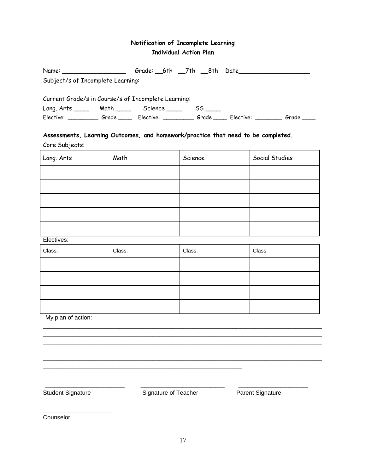### **Notification of Incomplete Learning Individual Action Plan**

|                                                     |  |                 |    | Grade: 6th 7th 8th Date |       |
|-----------------------------------------------------|--|-----------------|----|-------------------------|-------|
| Subject/s of Incomplete Learning:                   |  |                 |    |                         |       |
| Current Grade/s in Course/s of Incomplete Learning: |  |                 |    |                         |       |
| Lang. Arts _______ Math ________ Science _____      |  |                 | 55 |                         |       |
| Elective: Grade                                     |  | Elective: Grade |    | Elective: _______       | Grade |

### **Assessments, Learning Outcomes, and homework/practice that need to be completed.** Core Subjects:

| Lang. Arts | Math | Science | Social Studies |
|------------|------|---------|----------------|
|            |      |         |                |
|            |      |         |                |
|            |      |         |                |
|            |      |         |                |
|            |      |         |                |

Electives:

| Class: | Class: | Class: | Class: |
|--------|--------|--------|--------|
|        |        |        |        |
|        |        |        |        |
|        |        |        |        |
|        |        |        |        |

\_\_\_\_\_\_\_\_\_\_\_\_\_\_\_\_\_\_\_\_\_\_\_\_\_\_\_\_\_\_\_\_\_\_\_\_\_\_\_\_\_\_\_\_\_\_\_\_\_\_\_\_\_\_\_\_\_\_\_\_\_\_\_\_\_\_\_\_\_\_\_\_\_\_\_\_\_\_\_\_\_\_\_\_ \_\_\_\_\_\_\_\_\_\_\_\_\_\_\_\_\_\_\_\_\_\_\_\_\_\_\_\_\_\_\_\_\_\_\_\_\_\_\_\_\_\_\_\_\_\_\_\_\_\_\_\_\_\_\_\_\_\_\_\_\_\_\_\_\_\_\_\_\_\_\_\_\_\_\_\_\_\_\_\_\_\_\_\_ \_\_\_\_\_\_\_\_\_\_\_\_\_\_\_\_\_\_\_\_\_\_\_\_\_\_\_\_\_\_\_\_\_\_\_\_\_\_\_\_\_\_\_\_\_\_\_\_\_\_\_\_\_\_\_\_\_\_\_\_\_\_\_\_\_\_\_\_\_\_\_\_\_\_\_\_\_\_\_\_\_\_\_\_ \_\_\_\_\_\_\_\_\_\_\_\_\_\_\_\_\_\_\_\_\_\_\_\_\_\_\_\_\_\_\_\_\_\_\_\_\_\_\_\_\_\_\_\_\_\_\_\_\_\_\_\_\_\_\_\_\_\_\_\_\_\_\_\_\_\_\_\_\_\_\_\_\_\_\_\_\_\_\_\_\_\_\_\_ \_\_\_\_\_\_\_\_\_\_\_\_\_\_\_\_\_\_\_\_\_\_\_\_\_\_\_\_\_\_\_\_\_\_\_\_\_\_\_\_\_\_\_\_\_\_\_\_\_\_\_\_\_\_\_\_\_\_\_\_\_\_\_\_\_\_\_\_\_\_\_\_\_\_\_\_\_\_\_\_\_\_\_\_

My plan of action:

**\_\_\_\_\_\_\_\_\_\_\_\_\_\_\_\_\_\_\_\_\_**

Student Signature **Signature Signature Signature** Signature of Teacher **Parent Signature** 

\_\_\_\_\_\_\_\_\_\_\_\_\_\_\_\_\_ \_\_\_\_\_\_\_\_\_\_\_\_\_\_\_\_\_\_ \_\_\_\_\_\_\_\_\_\_\_\_\_\_\_

\_\_\_\_\_\_\_\_\_\_\_\_\_\_\_\_\_\_\_\_\_\_\_\_\_\_\_\_\_\_\_\_\_\_\_\_\_\_\_\_\_\_\_\_\_\_\_\_\_\_\_\_\_\_\_\_\_\_\_\_

Counselor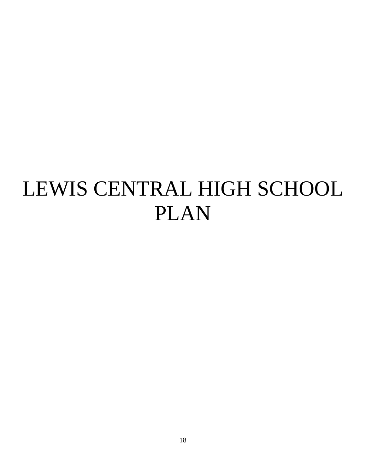# LEWIS CENTRAL HIGH SCHOOL PLAN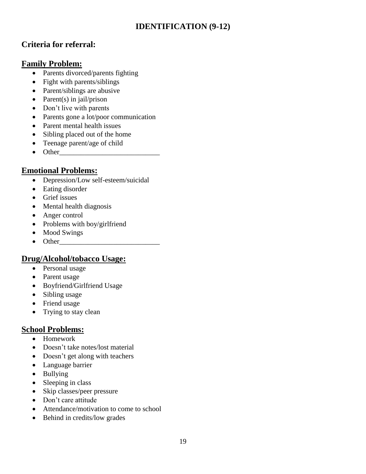## **IDENTIFICATION (9-12)**

## **Criteria for referral:**

## **Family Problem:**

- Parents divorced/parents fighting
- Fight with parents/siblings
- Parent/siblings are abusive
- Parent(s) in jail/prison
- Don't live with parents
- Parents gone a lot/poor communication
- Parent mental health issues
- Sibling placed out of the home
- Teenage parent/age of child
- $\bullet$  Other

## **Emotional Problems:**

- Depression/Low self-esteem/suicidal
- Eating disorder
- Grief issues
- Mental health diagnosis
- Anger control
- Problems with boy/girlfriend
- Mood Swings
- Other\_\_\_\_\_\_\_\_\_\_\_\_\_\_\_\_\_\_\_\_\_\_\_\_\_\_\_\_

## **Drug/Alcohol/tobacco Usage:**

- Personal usage
- Parent usage
- Boyfriend/Girlfriend Usage
- Sibling usage
- Friend usage
- Trying to stay clean

### **School Problems:**

- Homework
- Doesn't take notes/lost material
- Doesn't get along with teachers
- Language barrier
- Bullying
- Sleeping in class
- Skip classes/peer pressure
- Don't care attitude
- Attendance/motivation to come to school
- Behind in credits/low grades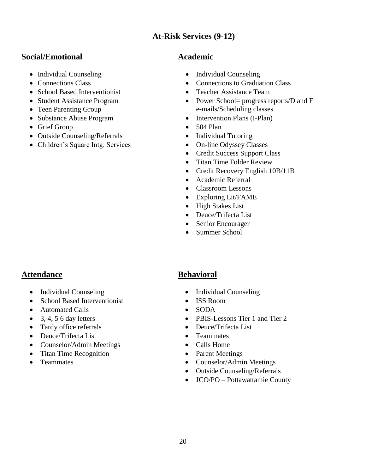## **At-Risk Services (9-12)**

## **Social/Emotional Academic**

- 
- 
- School Based Interventionist Teacher Assistance Team
- Student Assistance Program
- Teen Parenting Group
- 
- Grief Group 504 Plan
- Outside Counseling/Referrals Individual Tutoring
- Children's Square Intg. Services On-line Odyssey Classes

- Individual Counseling Individual Counseling
- Connections Class Connections to Graduation Class
	-
	- Power School= progress reports/D and F e-mails/Scheduling classes
- Substance Abuse Program Intervention Plans (I-Plan)
	-
	-
	-
	- Credit Success Support Class
	- Titan Time Folder Review
	- Credit Recovery English 10B/11B
	- Academic Referral
	- Classroom Lessons
	- Exploring Lit/FAME
	- High Stakes List
	- Deuce/Trifecta List
	- Senior Encourager
	- Summer School

## **Attendance Behavioral**

- Individual Counseling Individual Counseling
- School Based Interventionist ISS Room
- Automated Calls SODA
- 
- Tardy office referrals
- Deuce/Trifecta List
- Counselor/Admin Meetings
- Titan Time Recognition
- **•** Teammates

- 
- 
- 
- 3, 4, 5 6 day letters PBIS-Lessons Tier 1 and Tier 2
	- Deuce/Trifecta List
	- Teammates
	- Calls Home
	- Parent Meetings
	- Counselor/Admin Meetings
	- Outside Counseling/Referrals
	- JCO/PO Pottawattamie County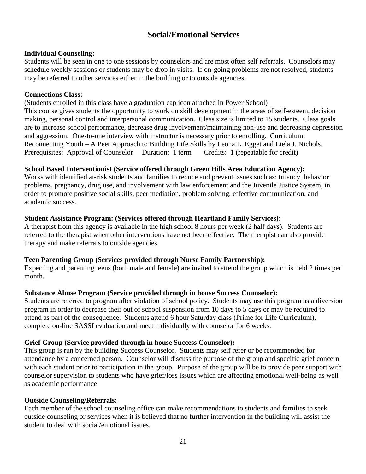## **Social/Emotional Services**

#### **Individual Counseling:**

Students will be seen in one to one sessions by counselors and are most often self referrals. Counselors may schedule weekly sessions or students may be drop in visits. If on-going problems are not resolved, students may be referred to other services either in the building or to outside agencies.

#### **Connections Class:**

(Students enrolled in this class have a graduation cap icon attached in Power School) This course gives students the opportunity to work on skill development in the areas of self-esteem, decision making, personal control and interpersonal communication. Class size is limited to 15 students. Class goals are to increase school performance, decrease drug involvement/maintaining non-use and decreasing depression and aggression. One-to-one interview with instructor is necessary prior to enrolling. Curriculum: Reconnecting Youth – A Peer Approach to Building Life Skills by Leona L. Egget and Liela J. Nichols. Prerequisites: Approval of Counselor Duration: 1 term Credits: 1 (repeatable for credit)

#### **School Based Interventionist (Service offered through Green Hills Area Education Agency):**

Works with identified at-risk students and families to reduce and prevent issues such as: truancy, behavior problems, pregnancy, drug use, and involvement with law enforcement and the Juvenile Justice System, in order to promote positive social skills, peer mediation, problem solving, effective communication, and academic success.

#### **Student Assistance Program: (Services offered through Heartland Family Services):**

A therapist from this agency is available in the high school 8 hours per week (2 half days). Students are referred to the therapist when other interventions have not been effective. The therapist can also provide therapy and make referrals to outside agencies.

#### **Teen Parenting Group (Services provided through Nurse Family Partnership):**

Expecting and parenting teens (both male and female) are invited to attend the group which is held 2 times per month.

#### **Substance Abuse Program (Service provided through in house Success Counselor):**

Students are referred to program after violation of school policy. Students may use this program as a diversion program in order to decrease their out of school suspension from 10 days to 5 days or may be required to attend as part of the consequence. Students attend 6 hour Saturday class (Prime for Life Curriculum), complete on-line SASSI evaluation and meet individually with counselor for 6 weeks.

#### **Grief Group (Service provided through in house Success Counselor):**

This group is run by the building Success Counselor. Students may self refer or be recommended for attendance by a concerned person. Counselor will discuss the purpose of the group and specific grief concern with each student prior to participation in the group. Purpose of the group will be to provide peer support with counselor supervision to students who have grief/loss issues which are affecting emotional well-being as well as academic performance

#### **Outside Counseling/Referrals:**

Each member of the school counseling office can make recommendations to students and families to seek outside counseling or services when it is believed that no further intervention in the building will assist the student to deal with social/emotional issues.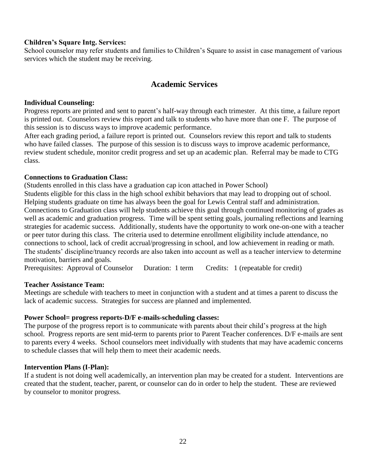#### **Children's Square Intg. Services:**

School counselor may refer students and families to Children's Square to assist in case management of various services which the student may be receiving.

## **Academic Services**

#### **Individual Counseling:**

Progress reports are printed and sent to parent's half-way through each trimester. At this time, a failure report is printed out. Counselors review this report and talk to students who have more than one F. The purpose of this session is to discuss ways to improve academic performance.

After each grading period, a failure report is printed out. Counselors review this report and talk to students who have failed classes. The purpose of this session is to discuss ways to improve academic performance, review student schedule, monitor credit progress and set up an academic plan. Referral may be made to CTG class.

#### **Connections to Graduation Class:**

(Students enrolled in this class have a graduation cap icon attached in Power School) Students eligible for this class in the high school exhibit behaviors that may lead to dropping out of school. Helping students graduate on time has always been the goal for Lewis Central staff and administration. Connections to Graduation class will help students achieve this goal through continued monitoring of grades as well as academic and graduation progress. Time will be spent setting goals, journaling reflections and learning strategies for academic success. Additionally, students have the opportunity to work one-on-one with a teacher or peer tutor during this class. The criteria used to determine enrollment eligibility include attendance, no connections to school, lack of credit accrual/progressing in school, and low achievement in reading or math. The students' discipline/truancy records are also taken into account as well as a teacher interview to determine motivation, barriers and goals.

Prerequisites: Approval of Counselor Duration: 1 term Credits: 1 (repeatable for credit)

#### **Teacher Assistance Team:**

Meetings are schedule with teachers to meet in conjunction with a student and at times a parent to discuss the lack of academic success. Strategies for success are planned and implemented.

#### **Power School= progress reports-D/F e-mails-scheduling classes:**

The purpose of the progress report is to communicate with parents about their child's progress at the high school. Progress reports are sent mid-term to parents prior to Parent Teacher conferences. D/F e-mails are sent to parents every 4 weeks. School counselors meet individually with students that may have academic concerns to schedule classes that will help them to meet their academic needs.

#### **Intervention Plans (I-Plan):**

If a student is not doing well academically, an intervention plan may be created for a student. Interventions are created that the student, teacher, parent, or counselor can do in order to help the student. These are reviewed by counselor to monitor progress.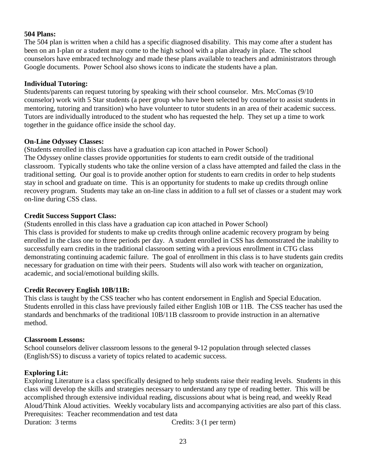#### **504 Plans:**

The 504 plan is written when a child has a specific diagnosed disability. This may come after a student has been on an I-plan or a student may come to the high school with a plan already in place. The school counselors have embraced technology and made these plans available to teachers and administrators through Google documents. Power School also shows icons to indicate the students have a plan.

#### **Individual Tutoring:**

Students/parents can request tutoring by speaking with their school counselor. Mrs. McComas (9/10 counselor) work with 5 Star students (a peer group who have been selected by counselor to assist students in mentoring, tutoring and transition) who have volunteer to tutor students in an area of their academic success. Tutors are individually introduced to the student who has requested the help. They set up a time to work together in the guidance office inside the school day.

#### **On-Line Odyssey Classes:**

(Students enrolled in this class have a graduation cap icon attached in Power School) The Odyssey online classes provide opportunities for students to earn credit outside of the traditional classroom. Typically students who take the online version of a class have attempted and failed the class in the traditional setting. Our goal is to provide another option for students to earn credits in order to help students stay in school and graduate on time. This is an opportunity for students to make up credits through online recovery program. Students may take an on-line class in addition to a full set of classes or a student may work on-line during CSS class.

#### **Credit Success Support Class:**

(Students enrolled in this class have a graduation cap icon attached in Power School) This class is provided for students to make up credits through online academic recovery program by being enrolled in the class one to three periods per day. A student enrolled in CSS has demonstrated the inability to successfully earn credits in the traditional classroom setting with a previous enrollment in CTG class demonstrating continuing academic failure. The goal of enrollment in this class is to have students gain credits necessary for graduation on time with their peers. Students will also work with teacher on organization, academic, and social/emotional building skills.

#### **Credit Recovery English 10B/11B:**

This class is taught by the CSS teacher who has content endorsement in English and Special Education. Students enrolled in this class have previously failed either English 10B or 11B. The CSS teacher has used the standards and benchmarks of the traditional 10B/11B classroom to provide instruction in an alternative method.

#### **Classroom Lessons:**

School counselors deliver classroom lessons to the general 9-12 population through selected classes (English/SS) to discuss a variety of topics related to academic success.

#### **Exploring Lit:**

Exploring Literature is a class specifically designed to help students raise their reading levels. Students in this class will develop the skills and strategies necessary to understand any type of reading better. This will be accomplished through extensive individual reading, discussions about what is being read, and weekly Read Aloud/Think Aloud activities. Weekly vocabulary lists and accompanying activities are also part of this class. Prerequisites: Teacher recommendation and test data

Duration: 3 terms Credits: 3 (1 per term)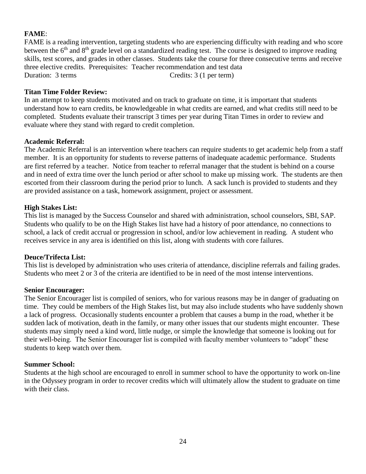#### **FAME**:

FAME is a reading intervention, targeting students who are experiencing difficulty with reading and who score between the  $6<sup>th</sup>$  and  $8<sup>th</sup>$  grade level on a standardized reading test. The course is designed to improve reading skills, test scores, and grades in other classes. Students take the course for three consecutive terms and receive three elective credits. Prerequisites: Teacher recommendation and test data Duration: 3 terms Credits: 3 (1 per term)

#### **Titan Time Folder Review:**

In an attempt to keep students motivated and on track to graduate on time, it is important that students understand how to earn credits, be knowledgeable in what credits are earned, and what credits still need to be completed. Students evaluate their transcript 3 times per year during Titan Times in order to review and evaluate where they stand with regard to credit completion.

#### **Academic Referral:**

The Academic Referral is an intervention where teachers can require students to get academic help from a staff member. It is an opportunity for students to reverse patterns of inadequate academic performance. Students are first referred by a teacher. Notice from teacher to referral manager that the student is behind on a course and in need of extra time over the lunch period or after school to make up missing work. The students are then escorted from their classroom during the period prior to lunch. A sack lunch is provided to students and they are provided assistance on a task, homework assignment, project or assessment.

#### **High Stakes List:**

This list is managed by the Success Counselor and shared with administration, school counselors, SBI, SAP. Students who qualify to be on the High Stakes list have had a history of poor attendance, no connections to school, a lack of credit accrual or progression in school, and/or low achievement in reading. A student who receives service in any area is identified on this list, along with students with core failures.

#### **Deuce/Trifecta List:**

This list is developed by administration who uses criteria of attendance, discipline referrals and failing grades. Students who meet 2 or 3 of the criteria are identified to be in need of the most intense interventions.

#### **Senior Encourager:**

The Senior Encourager list is compiled of seniors, who for various reasons may be in danger of graduating on time. They could be members of the High Stakes list, but may also include students who have suddenly shown a lack of progress. Occasionally students encounter a problem that causes a bump in the road, whether it be sudden lack of motivation, death in the family, or many other issues that our students might encounter. These students may simply need a kind word, little nudge, or simple the knowledge that someone is looking out for their well-being. The Senior Encourager list is compiled with faculty member volunteers to "adopt" these students to keep watch over them.

#### **Summer School:**

Students at the high school are encouraged to enroll in summer school to have the opportunity to work on-line in the Odyssey program in order to recover credits which will ultimately allow the student to graduate on time with their class.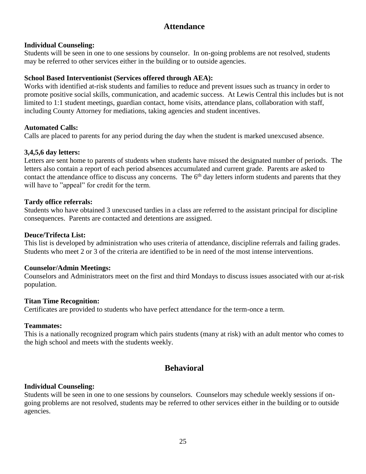## **Attendance**

#### **Individual Counseling:**

Students will be seen in one to one sessions by counselor. In on-going problems are not resolved, students may be referred to other services either in the building or to outside agencies.

#### **School Based Interventionist (Services offered through AEA):**

Works with identified at-risk students and families to reduce and prevent issues such as truancy in order to promote positive social skills, communication, and academic success. At Lewis Central this includes but is not limited to 1:1 student meetings, guardian contact, home visits, attendance plans, collaboration with staff, including County Attorney for mediations, taking agencies and student incentives.

#### **Automated Calls:**

Calls are placed to parents for any period during the day when the student is marked unexcused absence.

#### **3,4,5,6 day letters:**

Letters are sent home to parents of students when students have missed the designated number of periods. The letters also contain a report of each period absences accumulated and current grade. Parents are asked to contact the attendance office to discuss any concerns. The  $6<sup>th</sup>$  day letters inform students and parents that they will have to "appeal" for credit for the term.

#### **Tardy office referrals:**

Students who have obtained 3 unexcused tardies in a class are referred to the assistant principal for discipline consequences. Parents are contacted and detentions are assigned.

#### **Deuce/Trifecta List:**

This list is developed by administration who uses criteria of attendance, discipline referrals and failing grades. Students who meet 2 or 3 of the criteria are identified to be in need of the most intense interventions.

#### **Counselor/Admin Meetings:**

Counselors and Administrators meet on the first and third Mondays to discuss issues associated with our at-risk population.

#### **Titan Time Recognition:**

Certificates are provided to students who have perfect attendance for the term-once a term.

#### **Teammates:**

This is a nationally recognized program which pairs students (many at risk) with an adult mentor who comes to the high school and meets with the students weekly.

## **Behavioral**

#### **Individual Counseling:**

Students will be seen in one to one sessions by counselors. Counselors may schedule weekly sessions if ongoing problems are not resolved, students may be referred to other services either in the building or to outside agencies.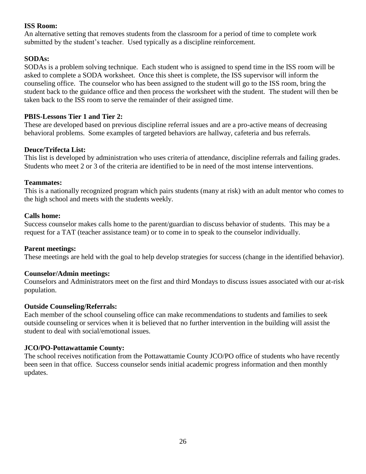#### **ISS Room:**

An alternative setting that removes students from the classroom for a period of time to complete work submitted by the student's teacher. Used typically as a discipline reinforcement.

#### **SODAs:**

SODAs is a problem solving technique. Each student who is assigned to spend time in the ISS room will be asked to complete a SODA worksheet. Once this sheet is complete, the ISS supervisor will inform the counseling office. The counselor who has been assigned to the student will go to the ISS room, bring the student back to the guidance office and then process the worksheet with the student. The student will then be taken back to the ISS room to serve the remainder of their assigned time.

#### **PBIS-Lessons Tier 1 and Tier 2:**

These are developed based on previous discipline referral issues and are a pro-active means of decreasing behavioral problems. Some examples of targeted behaviors are hallway, cafeteria and bus referrals.

#### **Deuce/Trifecta List:**

This list is developed by administration who uses criteria of attendance, discipline referrals and failing grades. Students who meet 2 or 3 of the criteria are identified to be in need of the most intense interventions.

#### **Teammates:**

This is a nationally recognized program which pairs students (many at risk) with an adult mentor who comes to the high school and meets with the students weekly.

#### **Calls home:**

Success counselor makes calls home to the parent/guardian to discuss behavior of students. This may be a request for a TAT (teacher assistance team) or to come in to speak to the counselor individually.

#### **Parent meetings:**

These meetings are held with the goal to help develop strategies for success (change in the identified behavior).

#### **Counselor/Admin meetings:**

Counselors and Administrators meet on the first and third Mondays to discuss issues associated with our at-risk population.

#### **Outside Counseling/Referrals:**

Each member of the school counseling office can make recommendations to students and families to seek outside counseling or services when it is believed that no further intervention in the building will assist the student to deal with social/emotional issues.

#### **JCO/PO-Pottawattamie County:**

The school receives notification from the Pottawattamie County JCO/PO office of students who have recently been seen in that office. Success counselor sends initial academic progress information and then monthly updates.